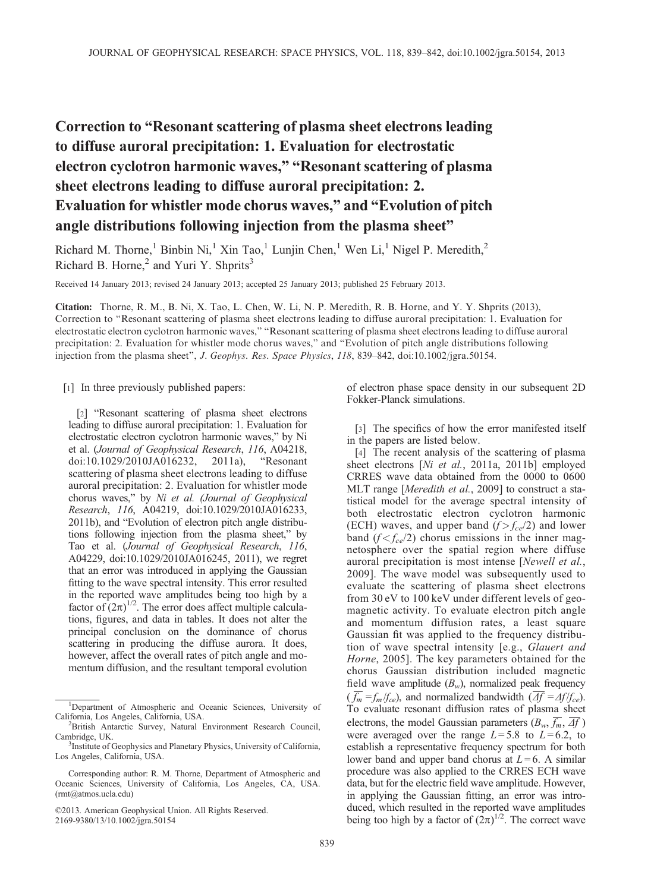## Correction to "Resonant scattering of plasma sheet electrons leading to diffuse auroral precipitation: 1. Evaluation for electrostatic electron cyclotron harmonic waves," "Resonant scattering of plasma sheet electrons leading to diffuse auroral precipitation: 2. Evaluation for whistler mode chorus waves," and "Evolution of pitch angle distributions following injection from the plasma sheet"

Richard M. Thorne,<sup>1</sup> Binbin Ni,<sup>1</sup> Xin Tao,<sup>1</sup> Lunjin Chen,<sup>1</sup> Wen Li,<sup>1</sup> Nigel P. Meredith,<sup>2</sup> Richard B. Horne, $<sup>2</sup>$  and Yuri Y. Shprits<sup>3</sup></sup>

Received 14 January 2013; revised 24 January 2013; accepted 25 January 2013; published 25 February 2013.

Citation: Thorne, R. M., B. Ni, X. Tao, L. Chen, W. Li, N. P. Meredith, R. B. Horne, and Y. Y. Shprits (2013), Correction to "Resonant scattering of plasma sheet electrons leading to diffuse auroral precipitation: 1. Evaluation for electrostatic electron cyclotron harmonic waves," "Resonant scattering of plasma sheet electrons leading to diffuse auroral precipitation: 2. Evaluation for whistler mode chorus waves," and "Evolution of pitch angle distributions following injection from the plasma sheet", J. Geophys. Res. Space Physics, 118, 839–842, doi:10.1002/jgra.50154.

[1] In three previously published papers:

[2] "Resonant scattering of plasma sheet electrons leading to diffuse auroral precipitation: 1. Evaluation for electrostatic electron cyclotron harmonic waves," by Ni et al. (Journal of Geophysical Research, 116, A04218, doi:10.1029/2010JA016232, 2011a), "Resonant scattering of plasma sheet electrons leading to diffuse auroral precipitation: 2. Evaluation for whistler mode chorus waves," by Ni et al. (Journal of Geophysical Research, 116, A04219, doi:10.1029/2010JA016233, 2011b), and "Evolution of electron pitch angle distributions following injection from the plasma sheet," by Tao et al. (Journal of Geophysical Research, 116, A04229, doi:10.1029/2010JA016245, 2011), we regret that an error was introduced in applying the Gaussian fitting to the wave spectral intensity. This error resulted in the reported wave amplitudes being too high by a factor of  $(2\pi)^{1/2}$ . The error does affect multiple calculations, figures, and data in tables. It does not alter the principal conclusion on the dominance of chorus scattering in producing the diffuse aurora. It does, however, affect the overall rates of pitch angle and momentum diffusion, and the resultant temporal evolution

of electron phase space density in our subsequent 2D Fokker-Planck simulations.

[3] The specifics of how the error manifested itself in the papers are listed below.

[4] The recent analysis of the scattering of plasma sheet electrons [Ni et al., 2011a, 2011b] employed CRRES wave data obtained from the 0000 to 0600 MLT range [Meredith et al., 2009] to construct a statistical model for the average spectral intensity of both electrostatic electron cyclotron harmonic (ECH) waves, and upper band  $(f > f_{ce}/2)$  and lower band  $(f < f_{ce}/2)$  chorus emissions in the inner magnetosphere over the spatial region where diffuse auroral precipitation is most intense [Newell et al., 2009]. The wave model was subsequently used to evaluate the scattering of plasma sheet electrons from 30 eV to 100 keV under different levels of geomagnetic activity. To evaluate electron pitch angle and momentum diffusion rates, a least square Gaussian fit was applied to the frequency distribution of wave spectral intensity [e.g., Glauert and Horne, 2005]. The key parameters obtained for the chorus Gaussian distribution included magnetic field wave amplitude  $(B_w)$ , normalized peak frequency  $(\overline{f_m} = f_m / f_{ce})$ , and normalized bandwidth  $(\overline{A}f = A f / f_{ce})$ . To evaluate resonant diffusion rates of plasma sheet electrons, the model Gaussian parameters  $(B_w, \overline{f_m}, \overline{\Delta f})$ were averaged over the range  $L = 5.8$  to  $L = 6.2$ , to establish a representative frequency spectrum for both lower band and upper band chorus at  $L = 6$ . A similar procedure was also applied to the CRRES ECH wave data, but for the electric field wave amplitude. However, in applying the Gaussian fitting, an error was introduced, which resulted in the reported wave amplitudes being too high by a factor of  $(2\pi)^{1/2}$ . The correct wave

<sup>&</sup>lt;sup>1</sup>Department of Atmospheric and Oceanic Sciences, University of California, Los Angeles, California, USA. <sup>2</sup>

<sup>&</sup>lt;sup>2</sup>British Antarctic Survey, Natural Environment Research Council, Cambridge, UK.

<sup>&</sup>lt;sup>3</sup>Institute of Geophysics and Planetary Physics, University of California, Los Angeles, California, USA.

Corresponding author: R. M. Thorne, Department of Atmospheric and Oceanic Sciences, University of California, Los Angeles, CA, USA. (rmt@atmos.ucla.edu)

<sup>©2013.</sup> American Geophysical Union. All Rights Reserved. 2169-9380/13/10.1002/jgra.50154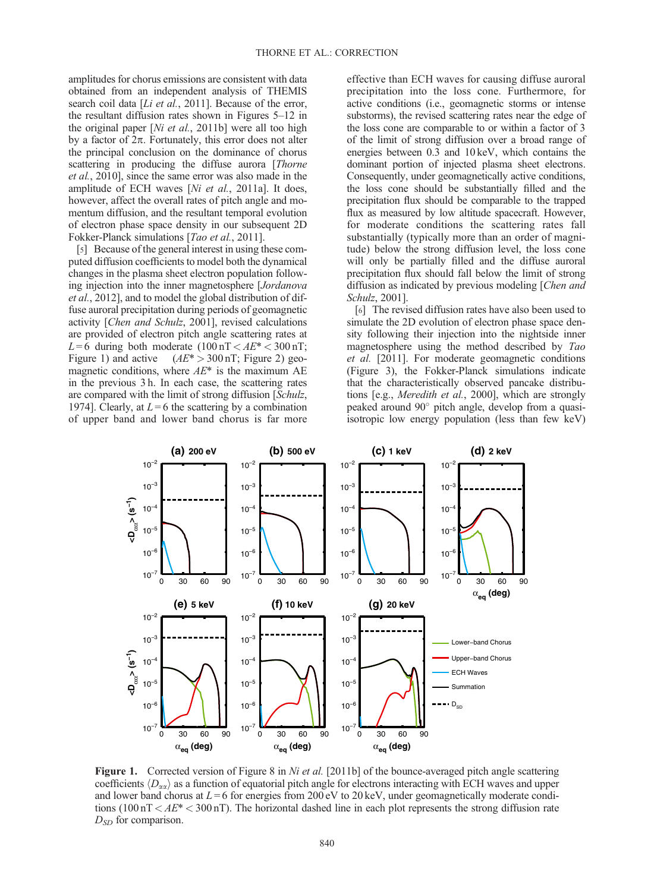amplitudes for chorus emissions are consistent with data obtained from an independent analysis of THEMIS search coil data [Li et al., 2011]. Because of the error, the resultant diffusion rates shown in Figures 5–12 in the original paper [Ni et al., 2011b] were all too high by a factor of  $2\pi$ . Fortunately, this error does not alter the principal conclusion on the dominance of chorus scattering in producing the diffuse aurora [Thorne et al., 2010], since the same error was also made in the amplitude of ECH waves [Ni et al., 2011a]. It does, however, affect the overall rates of pitch angle and momentum diffusion, and the resultant temporal evolution of electron phase space density in our subsequent 2D Fokker-Planck simulations [*Tao et al.*, 2011].

[5] Because of the general interest in using these computed diffusion coefficients to model both the dynamical changes in the plasma sheet electron population following injection into the inner magnetosphere [Jordanova et al., 2012], and to model the global distribution of diffuse auroral precipitation during periods of geomagnetic activity [Chen and Schulz, 2001], revised calculations are provided of electron pitch angle scattering rates at  $L = 6$  during both moderate  $(100 \text{ nT} < AE^* < 300 \text{ nT})$ ; Figure 1) and active  $(AE^* > 300 \text{ nT}$ ; Figure 2) geomagnetic conditions, where  $AE^*$  is the maximum AE in the previous 3 h. In each case, the scattering rates are compared with the limit of strong diffusion [Schulz, 1974]. Clearly, at  $L = 6$  the scattering by a combination of upper band and lower band chorus is far more

effective than ECH waves for causing diffuse auroral precipitation into the loss cone. Furthermore, for active conditions (i.e., geomagnetic storms or intense substorms), the revised scattering rates near the edge of the loss cone are comparable to or within a factor of 3 of the limit of strong diffusion over a broad range of energies between 0.3 and 10 keV, which contains the dominant portion of injected plasma sheet electrons. Consequently, under geomagnetically active conditions, the loss cone should be substantially filled and the precipitation flux should be comparable to the trapped flux as measured by low altitude spacecraft. However, for moderate conditions the scattering rates fall substantially (typically more than an order of magnitude) below the strong diffusion level, the loss cone will only be partially filled and the diffuse auroral precipitation flux should fall below the limit of strong diffusion as indicated by previous modeling [Chen and Schulz, 2001].

[6] The revised diffusion rates have also been used to simulate the 2D evolution of electron phase space density following their injection into the nightside inner magnetosphere using the method described by Tao et al. [2011]. For moderate geomagnetic conditions (Figure 3), the Fokker-Planck simulations indicate that the characteristically observed pancake distributions [e.g., Meredith et al., 2000], which are strongly peaked around 90° pitch angle, develop from a quasiisotropic low energy population (less than few keV)



**Figure 1.** Corrected version of Figure 8 in Ni et al. [2011b] of the bounce-averaged pitch angle scattering coefficients  $\langle D_{\alpha\alpha} \rangle$  as a function of equatorial pitch angle for electrons interacting with ECH waves and upper and lower band chorus at  $L = 6$  for energies from 200 eV to 20 keV, under geomagnetically moderate conditions (100 nT  $\lt A E^*$   $\lt 300$  nT). The horizontal dashed line in each plot represents the strong diffusion rate  $D_{SD}$  for comparison.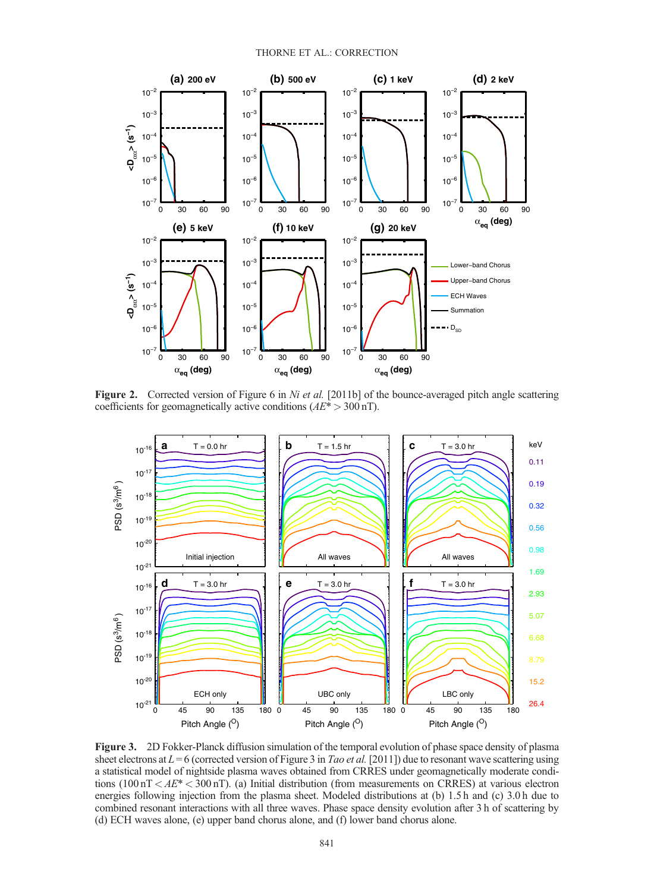

Figure 2. Corrected version of Figure 6 in Ni et al. [2011b] of the bounce-averaged pitch angle scattering coefficients for geomagnetically active conditions  $(AE^* > 300 \text{ nT})$ .



Figure 3. 2D Fokker-Planck diffusion simulation of the temporal evolution of phase space density of plasma sheet electrons at  $L = 6$  (corrected version of Figure 3 in *Tao et al.* [2011]) due to resonant wave scattering using a statistical model of nightside plasma waves obtained from CRRES under geomagnetically moderate conditions (100 nT  $\lt A E^*$   $\lt 300$  nT). (a) Initial distribution (from measurements on CRRES) at various electron energies following injection from the plasma sheet. Modeled distributions at (b) 1.5 h and (c) 3.0 h due to combined resonant interactions with all three waves. Phase space density evolution after 3 h of scattering by (d) ECH waves alone, (e) upper band chorus alone, and (f) lower band chorus alone.